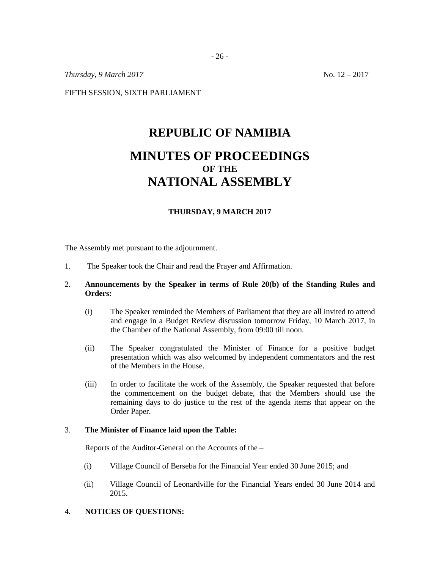*Thursday, 9 March 2017* No. 12 – 2017

FIFTH SESSION, SIXTH PARLIAMENT

# **REPUBLIC OF NAMIBIA MINUTES OF PROCEEDINGS OF THE NATIONAL ASSEMBLY**

## **THURSDAY, 9 MARCH 2017**

The Assembly met pursuant to the adjournment.

1. The Speaker took the Chair and read the Prayer and Affirmation.

## 2. **Announcements by the Speaker in terms of Rule 20(b) of the Standing Rules and Orders:**

- (i) The Speaker reminded the Members of Parliament that they are all invited to attend and engage in a Budget Review discussion tomorrow Friday, 10 March 2017, in the Chamber of the National Assembly, from 09:00 till noon.
- (ii) The Speaker congratulated the Minister of Finance for a positive budget presentation which was also welcomed by independent commentators and the rest of the Members in the House.
- (iii) In order to facilitate the work of the Assembly, the Speaker requested that before the commencement on the budget debate, that the Members should use the remaining days to do justice to the rest of the agenda items that appear on the Order Paper.

#### 3. **The Minister of Finance laid upon the Table:**

Reports of the Auditor-General on the Accounts of the –

- (i) Village Council of Berseba for the Financial Year ended 30 June 2015; and
- (ii) Village Council of Leonardville for the Financial Years ended 30 June 2014 and 2015.

## 4. **NOTICES OF QUESTIONS:**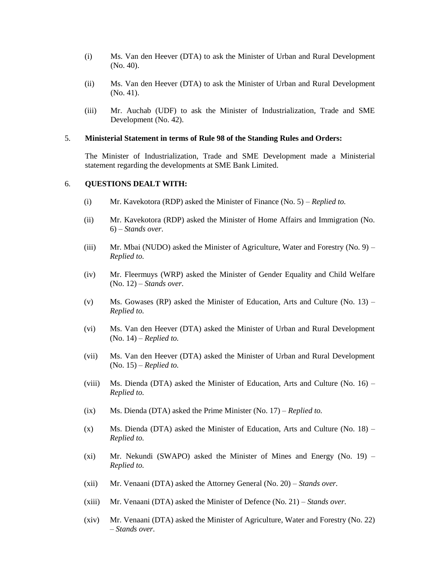- (i) Ms. Van den Heever (DTA) to ask the Minister of Urban and Rural Development (No. 40).
- (ii) Ms. Van den Heever (DTA) to ask the Minister of Urban and Rural Development (No. 41).
- (iii) Mr. Auchab (UDF) to ask the Minister of Industrialization, Trade and SME Development (No. 42).

#### 5. **Ministerial Statement in terms of Rule 98 of the Standing Rules and Orders:**

The Minister of Industrialization, Trade and SME Development made a Ministerial statement regarding the developments at SME Bank Limited.

#### 6. **QUESTIONS DEALT WITH:**

- (i) Mr. Kavekotora (RDP) asked the Minister of Finance (No. 5) *Replied to.*
- (ii) Mr. Kavekotora (RDP) asked the Minister of Home Affairs and Immigration (No. 6) – *Stands over.*
- (iii) Mr. Mbai (NUDO) asked the Minister of Agriculture, Water and Forestry (No. 9) *Replied to.*
- (iv) Mr. Fleermuys (WRP) asked the Minister of Gender Equality and Child Welfare (No. 12) – *Stands over.*
- (v) Ms. Gowases (RP) asked the Minister of Education, Arts and Culture (No.  $13$ ) *Replied to.*
- (vi) Ms. Van den Heever (DTA) asked the Minister of Urban and Rural Development (No. 14) – *Replied to.*
- (vii) Ms. Van den Heever (DTA) asked the Minister of Urban and Rural Development (No. 15) – *Replied to.*
- (viii) Ms. Dienda (DTA) asked the Minister of Education, Arts and Culture (No. 16) *Replied to.*
- (ix) Ms. Dienda (DTA) asked the Prime Minister (No. 17) *Replied to.*
- $(x)$  Ms. Dienda (DTA) asked the Minister of Education, Arts and Culture (No. 18) *Replied to.*
- (xi) Mr. Nekundi (SWAPO) asked the Minister of Mines and Energy (No. 19) *Replied to.*
- (xii) Mr. Venaani (DTA) asked the Attorney General (No. 20) *Stands over.*
- (xiii) Mr. Venaani (DTA) asked the Minister of Defence (No. 21) *Stands over.*
- (xiv) Mr. Venaani (DTA) asked the Minister of Agriculture, Water and Forestry (No. 22) – *Stands over.*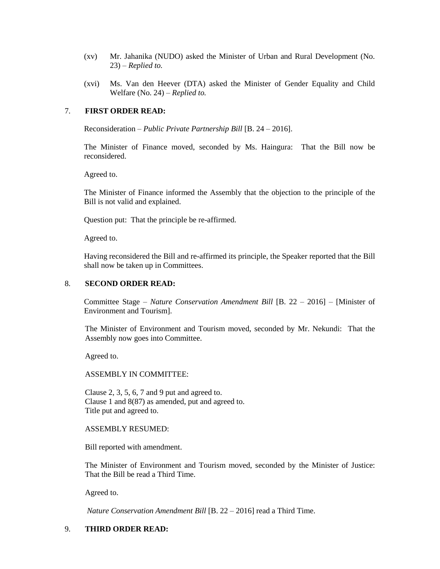- (xv) Mr. Jahanika (NUDO) asked the Minister of Urban and Rural Development (No. 23) – *Replied to.*
- (xvi) Ms. Van den Heever (DTA) asked the Minister of Gender Equality and Child Welfare (No. 24) – *Replied to.*

## 7. **FIRST ORDER READ:**

Reconsideration *– Public Private Partnership Bill* [B. 24 – 2016].

The Minister of Finance moved, seconded by Ms. Haingura: That the Bill now be reconsidered.

Agreed to.

The Minister of Finance informed the Assembly that the objection to the principle of the Bill is not valid and explained.

Question put: That the principle be re-affirmed.

Agreed to.

Having reconsidered the Bill and re-affirmed its principle, the Speaker reported that the Bill shall now be taken up in Committees.

#### 8. **SECOND ORDER READ:**

Committee Stage – *Nature Conservation Amendment Bill* [B. 22 – 2016] – [Minister of Environment and Tourism].

The Minister of Environment and Tourism moved, seconded by Mr. Nekundi: That the Assembly now goes into Committee.

Agreed to.

ASSEMBLY IN COMMITTEE:

Clause 2, 3, 5, 6, 7 and 9 put and agreed to. Clause 1 and 8(87) as amended, put and agreed to. Title put and agreed to.

#### ASSEMBLY RESUMED:

Bill reported with amendment.

The Minister of Environment and Tourism moved, seconded by the Minister of Justice: That the Bill be read a Third Time.

Agreed to.

*Nature Conservation Amendment Bill* [B. 22 – 2016] read a Third Time.

## 9. **THIRD ORDER READ:**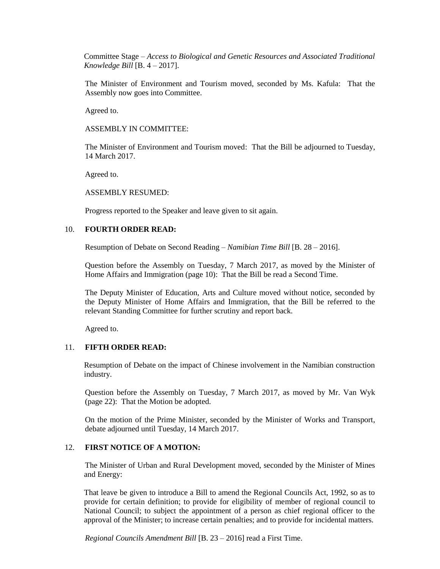Committee Stage – *Access to Biological and Genetic Resources and Associated Traditional Knowledge Bill* [B. 4 – 2017].

The Minister of Environment and Tourism moved, seconded by Ms. Kafula: That the Assembly now goes into Committee.

Agreed to.

ASSEMBLY IN COMMITTEE:

The Minister of Environment and Tourism moved: That the Bill be adjourned to Tuesday, 14 March 2017.

Agreed to.

ASSEMBLY RESUMED:

Progress reported to the Speaker and leave given to sit again.

## 10. **FOURTH ORDER READ:**

Resumption of Debate on Second Reading – *Namibian Time Bill* [B. 28 – 2016].

Question before the Assembly on Tuesday, 7 March 2017, as moved by the Minister of Home Affairs and Immigration (page 10): That the Bill be read a Second Time.

The Deputy Minister of Education, Arts and Culture moved without notice, seconded by the Deputy Minister of Home Affairs and Immigration, that the Bill be referred to the relevant Standing Committee for further scrutiny and report back.

Agreed to.

## 11. **FIFTH ORDER READ:**

Resumption of Debate on the impact of Chinese involvement in the Namibian construction industry.

Question before the Assembly on Tuesday, 7 March 2017, as moved by Mr. Van Wyk (page 22): That the Motion be adopted.

On the motion of the Prime Minister, seconded by the Minister of Works and Transport, debate adjourned until Tuesday, 14 March 2017.

## 12. **FIRST NOTICE OF A MOTION:**

The Minister of Urban and Rural Development moved, seconded by the Minister of Mines and Energy:

That leave be given to introduce a Bill to amend the Regional Councils Act, 1992, so as to provide for certain definition; to provide for eligibility of member of regional council to National Council; to subject the appointment of a person as chief regional officer to the approval of the Minister; to increase certain penalties; and to provide for incidental matters.

*Regional Councils Amendment Bill* [B. 23 – 2016] read a First Time.